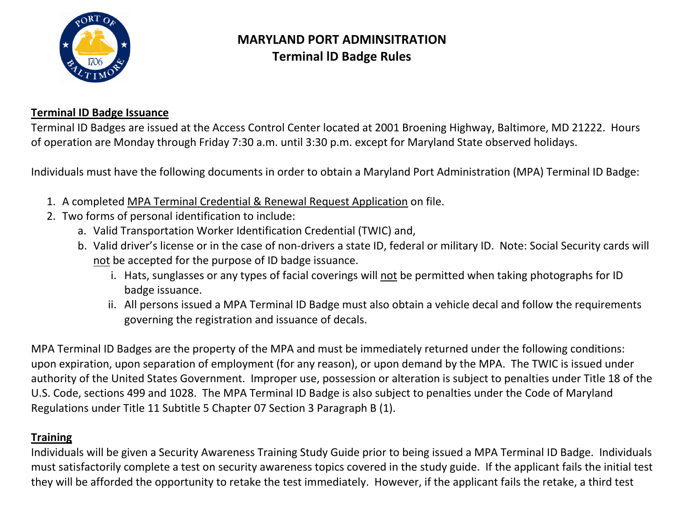

# **MARYLAND PORT ADMINSITRATION Terminal lD Badge Rules**

### **Terminal ID Badge Issuance**

Terminal ID Badges are issued at the Access Control Center located at 2001 Broening Highway, Baltimore, MD 21222. Hours of operation are Monday through Friday 7:30 a.m. until 3:30 p.m. except for Maryland State observed holidays.

Individuals must have the following documents in order to obtain a Maryland Port Administration (MPA) Terminal ID Badge:

- 1. A completed MPA Terminal Credential & Renewal Request Application on file.
- 2. Two forms of personal identification to include:
	- a. Valid Transportation Worker Identification Credential (TWIC) and,
	- b. Valid driver's license or in the case of non-drivers a state ID, federal or military ID. Note: Social Security cards will not be accepted for the purpose of ID badge issuance.
		- i. Hats, sunglasses or any types of facial coverings will not be permitted when taking photographs for ID badge issuance.
		- ii. All persons issued a MPA Terminal ID Badge must also obtain a vehicle decal and follow the requirements governing the registration and issuance of decals.

MPA Terminal ID Badges are the property of the MPA and must be immediately returned under the following conditions: upon expiration, upon separation of employment (for any reason), or upon demand by the MPA. The TWIC is issued under authority of the United States Government. Improper use, possession or alteration is subject to penalties under Title 18 of the U.S. Code, sections 499 and 1028. The MPA Terminal ID Badge is also subject to penalties under the Code of Maryland Regulations under Title 11 Subtitle 5 Chapter 07 Section 3 Paragraph B (1).

#### **Training**

Individuals will be given a Security Awareness Training Study Guide prior to being issued a MPA Terminal ID Badge. Individuals must satisfactorily complete a test on security awareness topics covered in the study guide. If the applicant fails the initial test they will be afforded the opportunity to retake the test immediately. However, if the applicant fails the retake, a third test